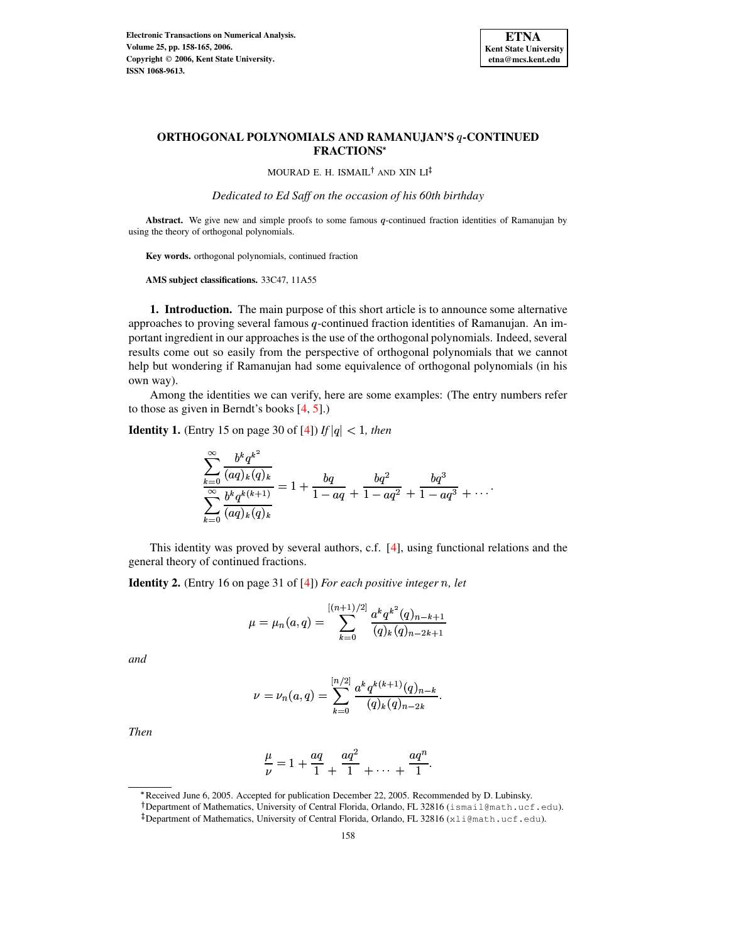

### **ORTHOGONAL POLYNOMIALS AND RAMANUJAN'S -CONTINUED FRACTIONS**

MOURAD E. H. ISMAIL<sup>†</sup> AND XIN LI<sup>‡</sup>

*Dedicated to Ed Saff on the occasion of his 60th birthday*

Abstract. We give new and simple proofs to some famous q-continued fraction identities of Ramanujan by using the theory of orthogonal polynomials.

**Key words.** orthogonal polynomials, continued fraction

**AMS subject classifications.** 33C47, 11A55

**1. Introduction.** The main purpose of this short article is to announce some alternative approaches to proving several famous  $q$ -continued fraction identities of Ramanujan. An important ingredient in our approaches is the use of the orthogonal polynomials. Indeed, several results come out so easily from the perspective of orthogonal polynomials that we cannot help but wondering if Ramanujan had some equivalence of orthogonal polynomials (in his own way).

Among the identities we can verify, here are some examples: (The entry numbers refer to those as given in Berndt's books [\[4,](#page-7-0) [5\]](#page-7-1).)

**Identity 1.** (Entry 15 on page 30 of [\[4\]](#page-7-0)) *If*  $|q| < 1$ , *then* 

$$
\sum_{k=0}^{\infty} \frac{b^k q^{k^2}}{(aq)_k (q)_k}
$$
  

$$
\sum_{k=0}^{\infty} \frac{b^k q^{k(k+1)}}{(aq)_k (q)_k} = 1 + \frac{bq}{1-aq} + \frac{bq^2}{1-aq^2} + \frac{bq^3}{1-aq^3} + \dots
$$

This identity was proved by several authors, c.f. [\[4\]](#page-7-0), using functional relations and the general theory of continued fractions.

**Identity 2.** (Entry 16 on page 31 of [\[4\]](#page-7-0)) *For each positive integer* /*, let*

$$
\mu = \mu_n(a,q) = \sum_{k=0}^{[(n+1)/2]} \frac{a^k q^{k^2} (q)_{n-k+1}}{(q)_k (q)_{n-2k+1}}
$$

*and*

$$
\nu = \nu_n(a,q) = \sum_{k=0}^{[n/2]} \frac{a^k q^{k(k+1)}(q)_{n-k}}{(q)_k (q)_{n-2k}}.
$$

*Then*

$$
\frac{\mu}{\nu} = 1 + \frac{aq}{1} + \frac{aq^2}{1} + \dots + \frac{aq^n}{1}.
$$

<sup>B</sup> Received June 6, 2005. Accepted for publication December 22, 2005. Recommended by D. Lubinsky.

<sup>-</sup> Department of Mathematics, University of Central Florida, Orlando, FL 32816 (ismail@math.ucf.edu).

<sup>&</sup>lt;sup>‡</sup>Department of Mathematics, University of Central Florida, Orlando, FL 32816 (xli@math.ucf.edu).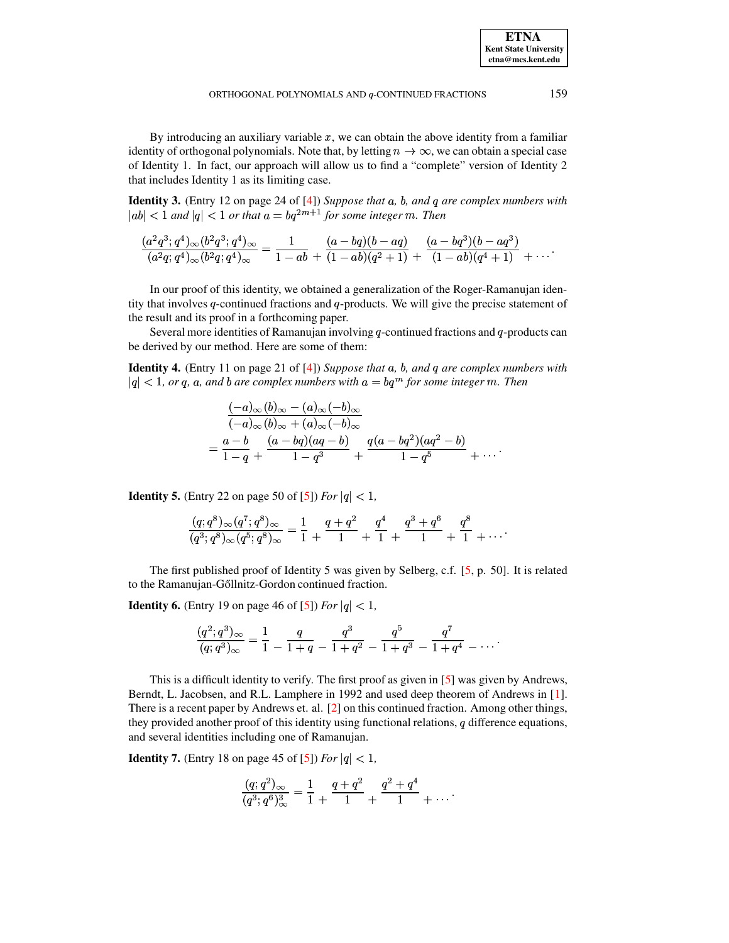**ETNA Kent State University etna@mcs.kent.edu**

By introducing an auxiliary variable  $x$ , we can obtain the above identity from a familiar identity of orthogonal polynomials. Note that, by letting  $n \to \infty$ , we can obtain a special case of Identity 1. In fact, our approach will allow us to find a "complete" version of Identity 2 that includes Identity 1 as its limiting case.

**Identity 3.** (Entry 12 on page 24 of [\[4\]](#page-7-0)) *Suppose that , , and are complex numbers with*  $|ab| < 1$  and  $|q| < 1$  or that  $a = bq^{2m+1}$  for some integer m. Then

$$
\frac{(a^2q^3;q^4)_{\infty}(b^2q^3;q^4)_{\infty}}{(a^2q;q^4)_{\infty}(b^2q;q^4)_{\infty}} = \frac{1}{1-ab} + \frac{(a-bq)(b-aq)}{(1-ab)(q^2+1)} + \frac{(a-bq^3)(b-aq^3)}{(1-ab)(q^4+1)} + \cdots
$$

In our proof of this identity, we obtained a generalization of the Roger-Ramanujan identity that involves  $q$ -continued fractions and  $q$ -products. We will give the precise statement of the result and its proof in a forthcoming paper.

Several more identities of Ramanujan involving  $q$ -continued fractions and  $q$ -products can be derived by our method. Here are some of them:

**Identity 4.** (Entry 11 on page 21 of [\[4\]](#page-7-0)) *Suppose that a, b, and q are complex numbers with*  $|q| < 1$ , or q, a, and b are complex numbers with  $a = bq^m$  for some integer  $m$ . Then

$$
\frac{(-a)_{\infty}(b)_{\infty} - (a)_{\infty}(-b)_{\infty}}{(-a)_{\infty}(b)_{\infty} + (a)_{\infty}(-b)_{\infty}}
$$
  
= 
$$
\frac{a - b}{1 - q} + \frac{(a - bq)(aq - b)}{1 - q^3} + \frac{q(a - bq^2)(aq^2 - b)}{1 - q^5} + \dots
$$

**Identity 5.** (Entry 22 on page 50 of [\[5\]](#page-7-1)) *For*  $|q| < 1$ ,

$$
\frac{(q;q^8)_{\infty}(q^7;q^8)_{\infty}}{(q^3;q^8)_{\infty}(q^5;q^8)_{\infty}} = \frac{1}{1} + \frac{q+q^2}{1} + \frac{q^4}{1} + \frac{q^3+q^6}{1} + \frac{q^8}{1} + \dots
$$

The first published proof of Identity 5 was given by Selberg, c.f. [\[5,](#page-7-1) p. 50]. It is related to the Ramanujan-Gőllnitz-Gordon continued fraction.

**Identity 6.** (Entry 19 on page 46 of [\[5\]](#page-7-1)) *For*  $|q| < 1$ ,

$$
\frac{(q^2;q^3)_{\infty}}{(q;q^3)_{\infty}} = \frac{1}{1} - \frac{q}{1+q} - \frac{q^3}{1+q^2} - \frac{q^5}{1+q^3} - \frac{q^7}{1+q^4} - \dots
$$

This is a difficult identity to verify. The first proof as given in [\[5\]](#page-7-1) was given by Andrews, Berndt, L. Jacobsen, and R.L. Lamphere in 1992 and used deep theorem of Andrews in [\[1\]](#page-7-2). There is a recent paper by Andrews et. al. [\[2\]](#page-7-3) on this continued fraction. Among other things, they provided another proof of this identity using functional relations,  $q$  difference equations, and several identities including one of Ramanujan.

**Identity 7.** (Entry 18 on page 45 of [\[5\]](#page-7-1)) *For*  $|q| < 1$ ,

$$
\frac{(q;q^2)_{\infty}}{(q^3;q^6)_{\infty}^3} = \frac{1}{1} + \frac{q+q^2}{1} + \frac{q^2+q^4}{1} + \cdots
$$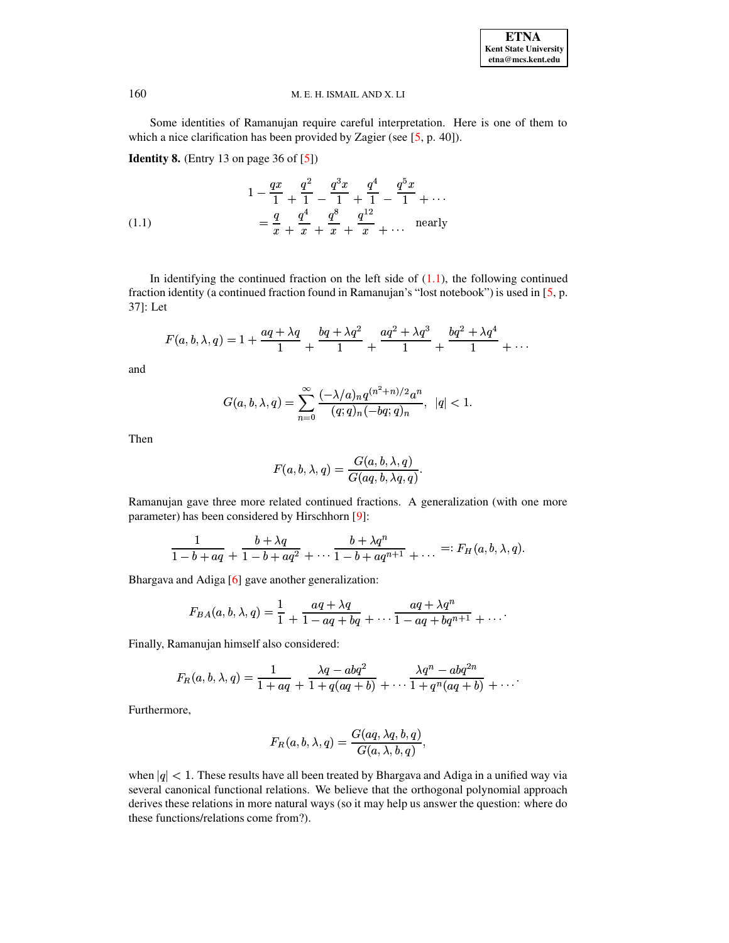#### 160 M. E. H. ISMAIL AND X. LI

Some identities of Ramanujan require careful interpretation. Here is one of them to which a nice clarification has been provided by Zagier (see [\[5,](#page-7-1) p. 40]).

**Identity 8.** (Entry 13 on page 36 of [\[5\]](#page-7-1))

<span id="page-2-0"></span>(1.1) 
$$
1 - \frac{qx}{1} + \frac{q^2}{1} - \frac{q^3x}{1} + \frac{q^4}{1} - \frac{q^5x}{1} + \cdots
$$

$$
= \frac{q}{x} + \frac{q^4}{x} + \frac{q^8}{x} + \frac{q^{12}}{x} + \cdots \quad \text{nearly}
$$

In identifying the continued fraction on the left side of  $(1.1)$ , the following continued fraction identity (a continued fraction found in Ramanujan's "lost notebook") is used in [\[5,](#page-7-1) p. 37]: Let

$$
F(a, b, \lambda, q) = 1 + \frac{aq + \lambda q}{1} + \frac{bq + \lambda q^2}{1} + \frac{aq^2 + \lambda q^3}{1} + \frac{bq^2 + \lambda q^4}{1} + \cdots
$$

and

$$
G(a, b, \lambda, q) = \sum_{n=0}^{\infty} \frac{(-\lambda/a)_n q^{(n^2+n)/2} a^n}{(q;q)_n (-bq;q)_n}, \ |q| < 1.
$$

Then

$$
F(a,b,\lambda,q)=\frac{G(a,b,\lambda,q)}{G(aq,b,\lambda q,q)}.
$$

Ramanujan gave three more related continued fractions. A generalization (with one more parameter) has been considered by Hirschhorn [\[9\]](#page-7-4):

$$
\frac{1}{1-b+aq}+\frac{b+\lambda q}{1-b+aq^2}+\cdots\frac{b+\lambda q^n}{1-b+aq^{n+1}}+\ldots =:F_H(a,b,\lambda,q).
$$

Bhargava and Adiga [\[6\]](#page-7-5) gave another generalization:

$$
F_{BA}(a, b, \lambda, q) = \frac{1}{1} + \frac{aq + \lambda q}{1 - aq + bq} + \dots + \frac{aq + \lambda q^n}{1 - aq + bq^{n+1}} + \dots
$$

Finally, Ramanujan himself also considered:

$$
F_R(a,b,\lambda,q)=\frac{1}{1+aq}+\frac{\lambda q-abq^2}{1+q(aq+b)}+\cdots\frac{\lambda q^n-abq^{2n}}{1+q^n(aq+b)}+\cdots
$$

Furthermore,

$$
F_R(a,b,\lambda,q)=\frac{G(aq,\lambda q,b,q)}{G(a,\lambda,b,q)},
$$

when  $|q| < 1$ . These results have all been treated by Bhargava and Adiga in a unified way via several canonical functional relations. We believe that the orthogonal polynomial approach derives these relations in more natural ways (so it may help us answer the question: where do these functions/relations come from?).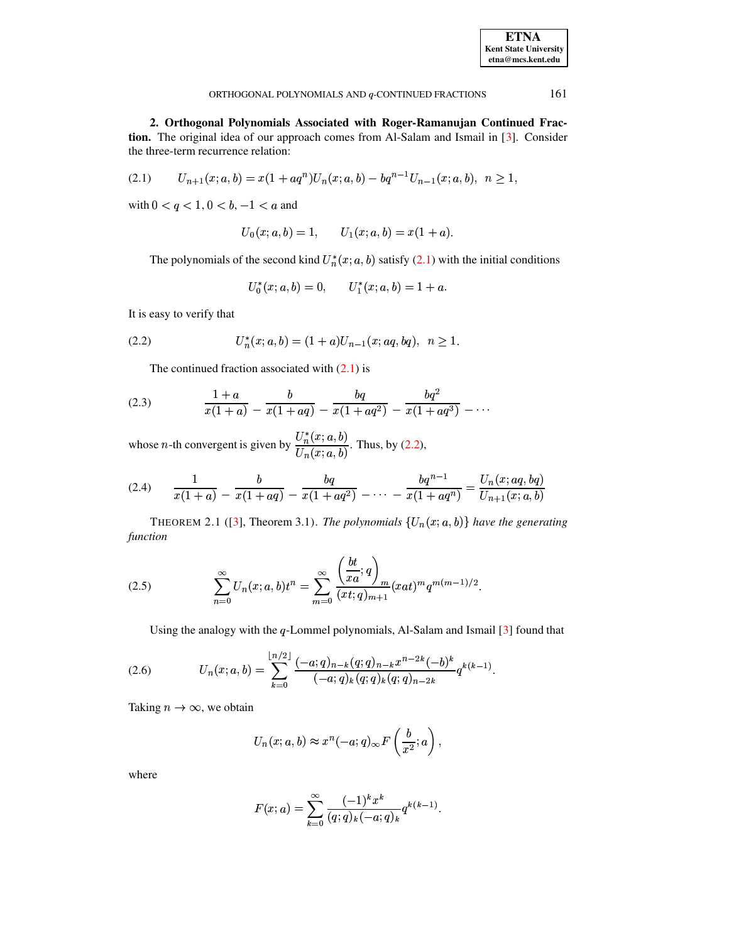<span id="page-3-0"></span>ORTHOGONAL POLYNOMIALS AND  $q$ -CONTINUED FRACTIONS  $161$ 

**2. Orthogonal Polynomials Associated with Roger-Ramanujan Continued Fraction.** The original idea of our approach comes from Al-Salam and Ismail in [\[3\]](#page-7-6). Consider the three-term recurrence relation:

$$
(2.1) \tU_{n+1}(x;a,b) = x(1+aq^n)U_n(x;a,b) - bq^{n-1}U_{n-1}(x;a,b), \quad n \ge 1,
$$

with  $0 < q < 1, 0 < b, -1 < a$  and

$$
U_0(x;a,b)=1,\qquad U_1(x;a,b)=x(1+a).
$$

The polynomials of the second kind  $U_n^*(x; a, b)$  satisfy [\(2.1\)](#page-3-0) with the initial conditions

<span id="page-3-4"></span><span id="page-3-2"></span>
$$
U_0^*(x;a,b)=0,\qquad U_1^*(x;a,b)=1+a.
$$

<span id="page-3-1"></span>It is easy to verify that

$$
(2.2) \t\t\t U_n^*(x;a,b) = (1+a)U_{n-1}(x;aq,bq), \ \ n \ge 1.
$$

The continued fraction associated with  $(2.1)$  is

(2.3) 
$$
\frac{1+a}{x(1+a)} - \frac{b}{x(1+aq)} - \frac{bq}{x(1+aq^2)} - \frac{bq^2}{x(1+aq^3)} - \cdots
$$

whose *n*-th convergent is given by  $\frac{U_n^*(x; a, b)}{U_n^*(x; a)}$ . Thus,  $\frac{\partial(n(x),a)}{\partial(x,a,b)}$ . Thus, by [\(2.2\)](#page-3-1),

$$
(2.4) \qquad \frac{1}{x(1+a)} - \frac{b}{x(1+aq)} - \frac{bq}{x(1+aq^2)} - \dots - \frac{bq^{n-1}}{x(1+aq^n)} = \frac{U_n(x;aq,bq)}{U_{n+1}(x;a,b)}
$$

<span id="page-3-3"></span>THEOREM 2.1 ([\[3\]](#page-7-6), Theorem 3.1). *The polynomials*  $\{U_n(x; a, b)\}\$  have the generating *function*

(2.5) 
$$
\sum_{n=0}^{\infty} U_n(x;a,b)t^n = \sum_{m=0}^{\infty} \frac{\left(\frac{bt}{xa};q\right)_m}{(xt;q)_{m+1}} (xat)^m q^{m(m-1)/2}.
$$

Using the analogy with the  $q$ -Lommel polynomials, Al-Salam and Ismail  $[3]$  found that

(2.6) 
$$
U_n(x;a,b) = \sum_{k=0}^{\lfloor n/2 \rfloor} \frac{(-a;q)_{n-k} (q;q)_{n-k} x^{n-2k} (-b)^k}{(-a;q)_k (q;q)_k (q;q)_{n-2k}} q^{k(k-1)}.
$$

Taking  $n \to \infty$ , we obtain

<span id="page-3-5"></span>
$$
U_n(x;a,b) \approx x^n(-a;q)_{\infty} F\left(\frac{b}{x^2};a\right),\,
$$

where

$$
F(x;a) = \sum_{k=0}^{\infty} \frac{(-1)^k x^k}{(q;q)_k (-a;q)_k} q^{k(k-1)}.
$$

**ETNA Kent State University etna@mcs.kent.edu**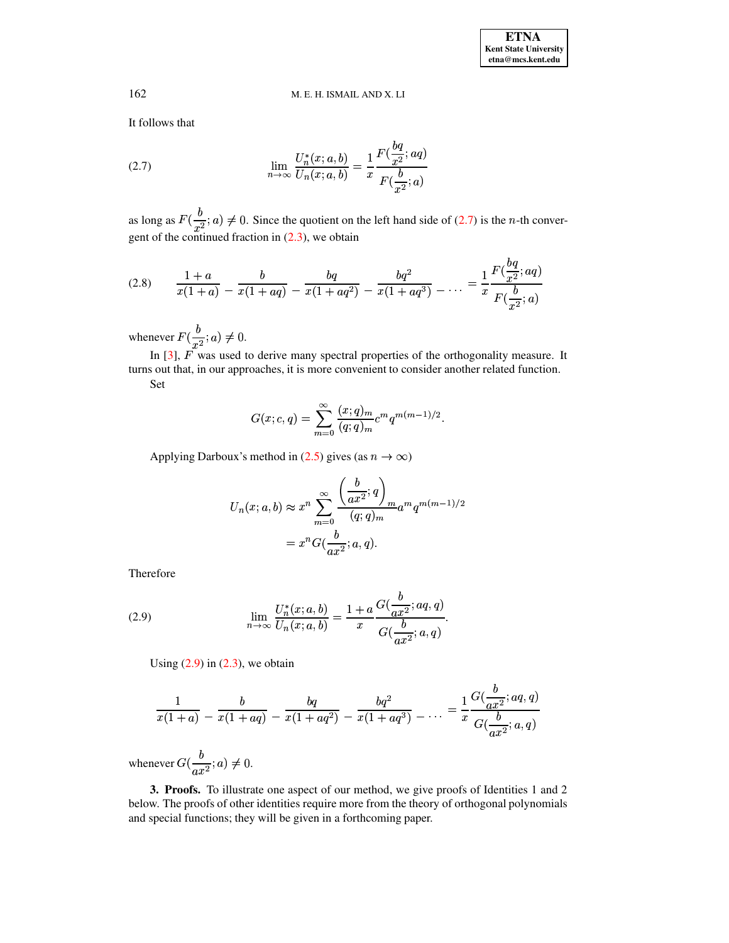# 162 M. E. H. ISMAIL AND X. LI

<span id="page-4-0"></span>It follows that

(2.7) 
$$
\lim_{n \to \infty} \frac{U_n^*(x; a, b)}{U_n(x; a, b)} = \frac{1}{x} \frac{F(\frac{bq}{x^2}; aq)}{F(\frac{b}{x^2}; a)}
$$

<span id="page-4-2"></span>as long as  $F(\frac{b}{a^2}; a) \neq 0$ gent of the continued fraction in  $(2.3)$ , we obtain  $(u, a) \neq 0$ . Since the quotient on the left hand side of  $(2.7)$  is the *n*-th conver-

$$
(2.8) \qquad \frac{1+a}{x(1+a)} = \frac{b}{x(1+aq)} = \frac{bq}{x(1+aq^2)} = \frac{bq^2}{x(1+aq^3)} = \dots = \frac{1}{x} \frac{F(\frac{bq}{x^2};aq)}{F(\frac{b}{x^2};a)}
$$

whenever  $F(\frac{b}{x^2}; a) \neq 0$ .  $(a) \neq 0.$ 

In  $[3]$ ,  $F$  was used to derive many spectral properties of the orthogonality measure. It turns out that, in our approaches, it is more convenient to consider another related function. Set

$$
G(x; c, q) = \sum_{m=0}^{\infty} \frac{(x; q)_m}{(q; q)_m} c^m q^{m(m-1)/2}.
$$

Applying Darboux's method in [\(2.5\)](#page-3-3) gives (as  $n \to \infty$ )

$$
U_n(x;a,b) \approx x^n \sum_{m=0}^{\infty} \frac{\left(\frac{b}{ax^2};q\right)_m}{(q;q)_m} a^m q^{m(m-1)/2}
$$
  
=  $x^n G(\frac{b}{ax^2};a,q).$ 

<span id="page-4-1"></span>Therefore

(2.9) 
$$
\lim_{n \to \infty} \frac{U_n^*(x; a, b)}{U_n(x; a, b)} = \frac{1 + a}{x} \frac{G(\frac{b}{ax^2}; aq, q)}{G(\frac{b}{ax^2}; a, q)}.
$$

Using  $(2.9)$  in  $(2.3)$ , we obtain

$$
\frac{1}{x(1+a)} - \frac{b}{x(1+aq)} - \frac{bq}{x(1+aq^2)} - \frac{bq^2}{x(1+aq^3)} - \ldots = \frac{1}{x} \frac{G(\frac{b}{ax^2};aq,q)}{G(\frac{b}{ax^2};a,q)}
$$

whenever  $G(\frac{b}{ax^2}; a) \neq 0$ .  $(a) \neq 0.$ 

**3. Proofs.** To illustrate one aspect of our method, we give proofs of Identities 1 and 2 below. The proofs of other identities require more from the theory of orthogonal polynomials and special functions; they will be given in a forthcoming paper.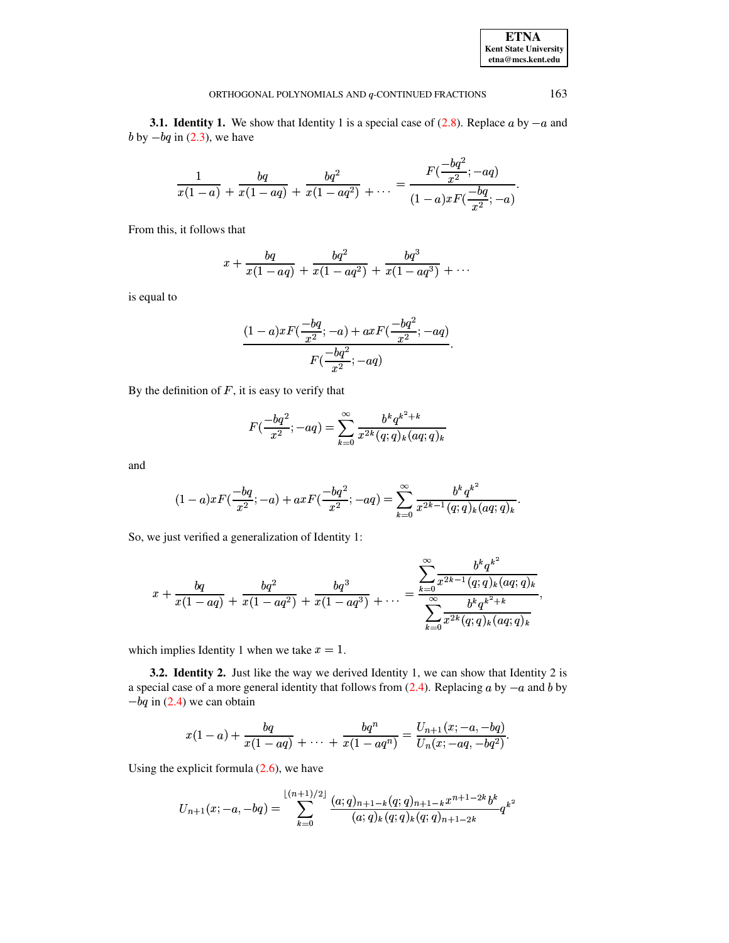**3.1. Identity 1.** We show that Identity 1 is a special case of  $(2.8)$ . Replace a by  $-a$  and  $b$  by  $-bq$  in [\(2.3\)](#page-3-2), we have

$$
\frac{1}{x(1-a)} + \frac{bq}{x(1-aq)} + \frac{bq^2}{x(1-aq^2)} + \ldots = \frac{F(\frac{-bq^2}{x^2}; -aq)}{(1-a)xF(\frac{-bq}{x^2}; -a)}.
$$

From this, it follows that

$$
x + \frac{bq}{x(1-aq)} + \frac{bq^2}{x(1-aq^2)} + \frac{bq^3}{x(1-aq^3)} + \cdots
$$

is equal to

$$
\frac{(1-a)xF(\frac{-bq}{x^2};-a)+axF(\frac{-bq^2}{x^2};-aq)}{F(\frac{-bq^2}{x^2};-aq)}.
$$

By the definition of  $F$ , it is easy to verify that

$$
F(\frac{-bq^2}{x^2};-aq) = \sum_{k=0}^{\infty} \frac{b^k q^{k^2+k}}{x^{2k} (q;q)_k (aq;q)_k}
$$

and

$$
(1-a)xF(\frac{-bq}{x^2};-a) + axF(\frac{-bq^2}{x^2};-aq) = \sum_{k=0}^{\infty} \frac{b^kq^{k^2}}{x^{2k-1}(q;q)_k(aq;q)_k}.
$$

So, we just verified a generalization of Identity 1:

$$
x+\frac{b q}{x(1-a q)}+\frac{b q^2}{x(1-a q^2)}+\frac{b q^3}{x(1-a q^3)}+\ldots=\frac{\displaystyle\sum_{k=0}^{\infty}\frac{b^k q^{k^2}}{x^{2k-1}(q;q)_k(aq;q)_k}}{\displaystyle\sum_{k=0}^{\infty}\frac{b^k q^{k^2+k}}{x^{2k}(q;q)_k(aq;q)_k}},
$$

which implies Identity 1 when we take  $x = 1$ .

**3.2. Identity 2.** Just like the way we derived Identity 1, we can show that Identity 2 is a special case of a more general identity that follows from  $(2.4)$ . Replacing a by  $-a$  and b by  $-bq$  in [\(2.4\)](#page-3-4) we can obtain

$$
x(1-a)+\frac{bq}{x(1-aq)}+\ldots+\frac{bq^n}{x(1-aq^n)}=\frac{U_{n+1}(x;-a,-bq)}{U_n(x;-aq,-bq^2)}.
$$

Using the explicit formula  $(2.6)$ , we have

$$
U_{n+1}(x;-a,-bq)=\sum_{k=0}^{\lfloor (n+1)/2\rfloor}\frac{(a;q)_{n+1-k}(q;q)_{n+1-k}x^{n+1-2k}b^k}{(a;q)_k(q;q)_k(q;q)_{n+1-2k}}q^{k^2}
$$

**ETNA Kent State University etna@mcs.kent.edu**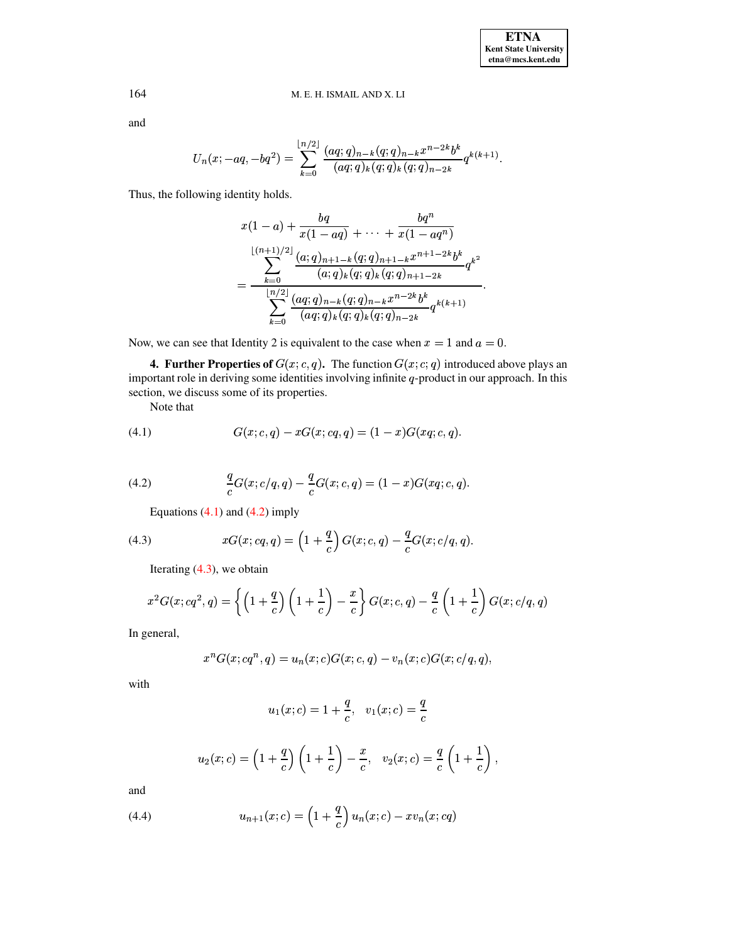# 164 M. E. H. ISMAIL AND X. LI

and

$$
U_n(x; -aq, -bq^2) = \sum_{k=0}^{\lfloor n/2 \rfloor} \frac{(aq;q)_{n-k} (q;q)_{n-k} x^{n-2k} b^k}{(aq;q)_k (q;q)_k (q;q)_{n-2k}} q^{k(k+1)}.
$$

Thus, the following identity holds.

$$
x(1-a) + \frac{bq}{x(1-aq)} + \dots + \frac{bq^n}{x(1-aq^n)}
$$
  
= 
$$
\frac{\sum_{k=0}^{\lfloor (n+1)/2 \rfloor} \frac{(a;q)_{n+1-k}(q;q)_{n+1-k}x^{n+1-2k}b^k}{(a;q)_k(q;q)_{k}(q;q)_{n+1-2k}} q^{k^2}
$$
  
= 
$$
\frac{\sum_{k=0}^{\lfloor n/2 \rfloor} \frac{(aq;q)_{n-k}(q;q)_{n-k}x^{n-2k}b^k}{(aq;q)_k(q;q)_k(q;q)_{n-2k}} q^{k(k+1)}
$$

Now, we can see that Identity 2 is equivalent to the case when  $x = 1$  and  $a = 0$ .

**4. Further Properties of**  $G(x; c, q)$ . The function  $G(x; c, q)$  introduced above plays an important role in deriving some identities involving infinite  $q$ -product in our approach. In this section, we discuss some of its properties.

Note that

<span id="page-6-1"></span><span id="page-6-0"></span>(4.1) 
$$
G(x; c, q) - xG(x; cq, q) = (1 - x)G(xq; c, q).
$$

(4.2) 
$$
\frac{q}{c}G(x; c/q, q) - \frac{q}{c}G(x; c, q) = (1-x)G(xq; c, q).
$$

<span id="page-6-2"></span>Equations  $(4.1)$  and  $(4.2)$  imply

(4.3) 
$$
xG(x; cq, q) = \left(1 + \frac{q}{c}\right)G(x; c, q) - \frac{q}{c}G(x; c/q, q).
$$

Iterating  $(4.3)$ , we obtain

$$
x^2G(x;cq^2,q) = \left\{ \left(1+\frac{q}{c}\right)\left(1+\frac{1}{c}\right)-\frac{x}{c} \right\}G(x;c,q) - \frac{q}{c}\left(1+\frac{1}{c}\right)G(x;c/q,q)
$$

In general,

$$
x^nG(x; cq^n, q) = u_n(x; c)G(x; c, q) - v_n(x; c)G(x; c/q, q),
$$

with

$$
u_1(x;c)=1+\frac{q}{c},\ \ \, v_1(x;c)=\frac{q}{c}
$$

$$
u_2(x;c)=\left(1+\frac{q}{c}\right)\left(1+\frac{1}{c}\right)-\frac{x}{c},\quad v_2(x;c)=\frac{q}{c}\left(1+\frac{1}{c}\right),
$$

<span id="page-6-3"></span>and

(4.4) 
$$
u_{n+1}(x;c) = \left(1 + \frac{q}{c}\right)u_n(x;c) - xv_n(x;cq)
$$